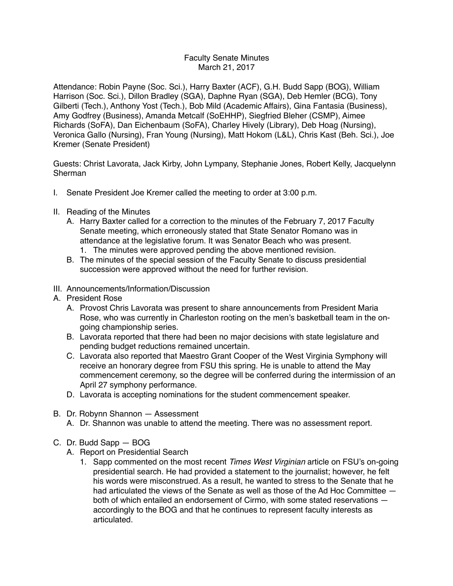## Faculty Senate Minutes March 21, 2017

Attendance: Robin Payne (Soc. Sci.), Harry Baxter (ACF), G.H. Budd Sapp (BOG), William Harrison (Soc. Sci.), Dillon Bradley (SGA), Daphne Ryan (SGA), Deb Hemler (BCG), Tony Gilberti (Tech.), Anthony Yost (Tech.), Bob Mild (Academic Affairs), Gina Fantasia (Business), Amy Godfrey (Business), Amanda Metcalf (SoEHHP), Siegfried Bleher (CSMP), Aimee Richards (SoFA), Dan Eichenbaum (SoFA), Charley Hively (Library), Deb Hoag (Nursing), Veronica Gallo (Nursing), Fran Young (Nursing), Matt Hokom (L&L), Chris Kast (Beh. Sci.), Joe Kremer (Senate President)

Guests: Christ Lavorata, Jack Kirby, John Lympany, Stephanie Jones, Robert Kelly, Jacquelynn Sherman

- I. Senate President Joe Kremer called the meeting to order at 3:00 p.m.
- II. Reading of the Minutes
	- A. Harry Baxter called for a correction to the minutes of the February 7, 2017 Faculty Senate meeting, which erroneously stated that State Senator Romano was in attendance at the legislative forum. It was Senator Beach who was present.
		- 1. The minutes were approved pending the above mentioned revision.
	- B. The minutes of the special session of the Faculty Senate to discuss presidential succession were approved without the need for further revision.
- III. Announcements/Information/Discussion
- A. President Rose
	- A. Provost Chris Lavorata was present to share announcements from President Maria Rose, who was currently in Charleston rooting on the men's basketball team in the ongoing championship series.
	- B. Lavorata reported that there had been no major decisions with state legislature and pending budget reductions remained uncertain.
	- C. Lavorata also reported that Maestro Grant Cooper of the West Virginia Symphony will receive an honorary degree from FSU this spring. He is unable to attend the May commencement ceremony, so the degree will be conferred during the intermission of an April 27 symphony performance.
	- D. Lavorata is accepting nominations for the student commencement speaker.
- B. Dr. Robynn Shannon Assessment
	- A. Dr. Shannon was unable to attend the meeting. There was no assessment report.
- C. Dr. Budd Sapp BOG
	- A. Report on Presidential Search
		- 1. Sapp commented on the most recent *Times West Virginian* article on FSU's on-going presidential search. He had provided a statement to the journalist; however, he felt his words were misconstrued. As a result, he wanted to stress to the Senate that he had articulated the views of the Senate as well as those of the Ad Hoc Committee  $$ both of which entailed an endorsement of Cirmo, with some stated reservations accordingly to the BOG and that he continues to represent faculty interests as articulated.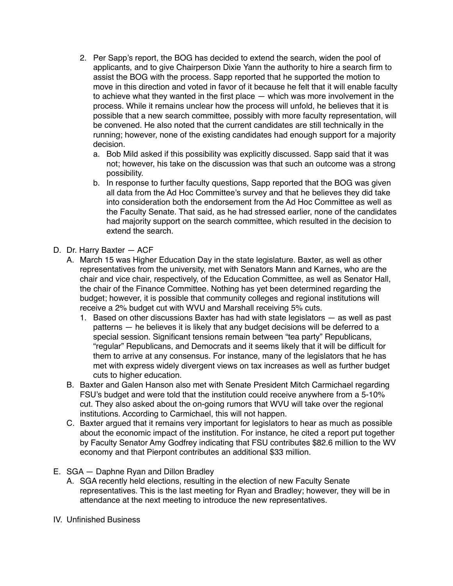- 2. Per Sapp's report, the BOG has decided to extend the search, widen the pool of applicants, and to give Chairperson Dixie Yann the authority to hire a search firm to assist the BOG with the process. Sapp reported that he supported the motion to move in this direction and voted in favor of it because he felt that it will enable faculty to achieve what they wanted in the first place — which was more involvement in the process. While it remains unclear how the process will unfold, he believes that it is possible that a new search committee, possibly with more faculty representation, will be convened. He also noted that the current candidates are still technically in the running; however, none of the existing candidates had enough support for a majority decision.
	- a. Bob Mild asked if this possibility was explicitly discussed. Sapp said that it was not; however, his take on the discussion was that such an outcome was a strong possibility.
	- b. In response to further faculty questions, Sapp reported that the BOG was given all data from the Ad Hoc Committee's survey and that he believes they did take into consideration both the endorsement from the Ad Hoc Committee as well as the Faculty Senate. That said, as he had stressed earlier, none of the candidates had majority support on the search committee, which resulted in the decision to extend the search.
- D. Dr. Harry Baxter ACF
	- A. March 15 was Higher Education Day in the state legislature. Baxter, as well as other representatives from the university, met with Senators Mann and Karnes, who are the chair and vice chair, respectively, of the Education Committee, as well as Senator Hall, the chair of the Finance Committee. Nothing has yet been determined regarding the budget; however, it is possible that community colleges and regional institutions will receive a 2% budget cut with WVU and Marshall receiving 5% cuts.
		- 1. Based on other discussions Baxter has had with state legislators as well as past patterns — he believes it is likely that any budget decisions will be deferred to a special session. Significant tensions remain between "tea party" Republicans, "regular" Republicans, and Democrats and it seems likely that it will be difficult for them to arrive at any consensus. For instance, many of the legislators that he has met with express widely divergent views on tax increases as well as further budget cuts to higher education.
	- B. Baxter and Galen Hanson also met with Senate President Mitch Carmichael regarding FSU's budget and were told that the institution could receive anywhere from a 5-10% cut. They also asked about the on-going rumors that WVU will take over the regional institutions. According to Carmichael, this will not happen.
	- C. Baxter argued that it remains very important for legislators to hear as much as possible about the economic impact of the institution. For instance, he cited a report put together by Faculty Senator Amy Godfrey indicating that FSU contributes \$82.6 million to the WV economy and that Pierpont contributes an additional \$33 million.
- E. SGA Daphne Ryan and Dillon Bradley
	- A. SGA recently held elections, resulting in the election of new Faculty Senate representatives. This is the last meeting for Ryan and Bradley; however, they will be in attendance at the next meeting to introduce the new representatives.
- IV. Unfinished Business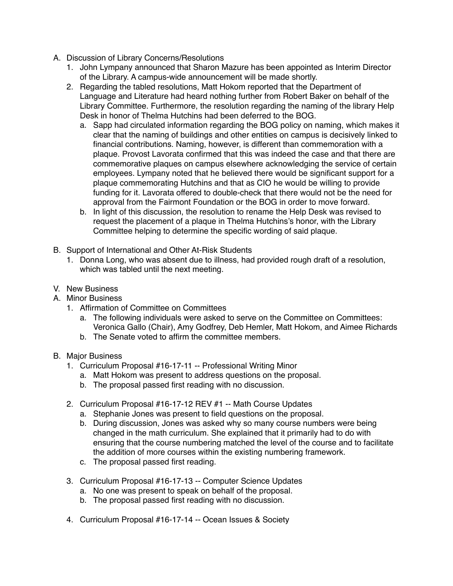- A. Discussion of Library Concerns/Resolutions
	- 1. John Lympany announced that Sharon Mazure has been appointed as Interim Director of the Library. A campus-wide announcement will be made shortly.
	- 2. Regarding the tabled resolutions, Matt Hokom reported that the Department of Language and Literature had heard nothing further from Robert Baker on behalf of the Library Committee. Furthermore, the resolution regarding the naming of the library Help Desk in honor of Thelma Hutchins had been deferred to the BOG.
		- a. Sapp had circulated information regarding the BOG policy on naming, which makes it clear that the naming of buildings and other entities on campus is decisively linked to financial contributions. Naming, however, is different than commemoration with a plaque. Provost Lavorata confirmed that this was indeed the case and that there are commemorative plaques on campus elsewhere acknowledging the service of certain employees. Lympany noted that he believed there would be significant support for a plaque commemorating Hutchins and that as CIO he would be willing to provide funding for it. Lavorata offered to double-check that there would not be the need for approval from the Fairmont Foundation or the BOG in order to move forward.
		- b. In light of this discussion, the resolution to rename the Help Desk was revised to request the placement of a plaque in Thelma Hutchins's honor, with the Library Committee helping to determine the specific wording of said plaque.
- B. Support of International and Other At-Risk Students
	- 1. Donna Long, who was absent due to illness, had provided rough draft of a resolution, which was tabled until the next meeting.
- V. New Business
- A. Minor Business
	- 1. Affirmation of Committee on Committees
		- a. The following individuals were asked to serve on the Committee on Committees: Veronica Gallo (Chair), Amy Godfrey, Deb Hemler, Matt Hokom, and Aimee Richards
		- b. The Senate voted to affirm the committee members.
- B. Major Business
	- 1. Curriculum Proposal #16-17-11 -- Professional Writing Minor
		- a. Matt Hokom was present to address questions on the proposal.
		- b. The proposal passed first reading with no discussion.
	- 2. Curriculum Proposal #16-17-12 REV #1 -- Math Course Updates
		- a. Stephanie Jones was present to field questions on the proposal.
		- b. During discussion, Jones was asked why so many course numbers were being changed in the math curriculum. She explained that it primarily had to do with ensuring that the course numbering matched the level of the course and to facilitate the addition of more courses within the existing numbering framework.
		- c. The proposal passed first reading.
	- 3. Curriculum Proposal #16-17-13 -- Computer Science Updates
		- a. No one was present to speak on behalf of the proposal.
		- b. The proposal passed first reading with no discussion.
	- 4. Curriculum Proposal #16-17-14 -- Ocean Issues & Society